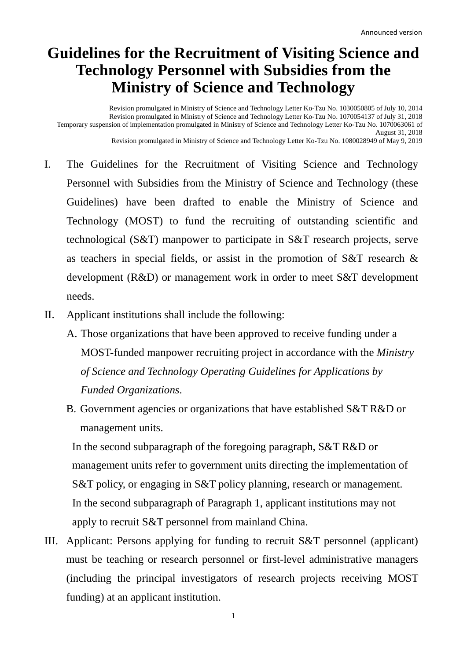## **Guidelines for the Recruitment of Visiting Science and Technology Personnel with Subsidies from the Ministry of Science and Technology**

Revision promulgated in Ministry of Science and Technology Letter Ko-Tzu No. 1030050805 of July 10, 2014 Revision promulgated in Ministry of Science and Technology Letter Ko-Tzu No. 1070054137 of July 31, 2018 Temporary suspension of implementation promulgated in Ministry of Science and Technology Letter Ko-Tzu No. 1070063061 of August 31, 2018 Revision promulgated in Ministry of Science and Technology Letter Ko-Tzu No. 1080028949 of May 9, 2019

- I. The Guidelines for the Recruitment of Visiting Science and Technology Personnel with Subsidies from the Ministry of Science and Technology (these Guidelines) have been drafted to enable the Ministry of Science and Technology (MOST) to fund the recruiting of outstanding scientific and technological (S&T) manpower to participate in S&T research projects, serve as teachers in special fields, or assist in the promotion of S&T research & development (R&D) or management work in order to meet S&T development needs.
- II. Applicant institutions shall include the following:
	- A. Those organizations that have been approved to receive funding under a MOST-funded manpower recruiting project in accordance with the *Ministry of Science and Technology Operating Guidelines for Applications by Funded Organizations*.
	- B. Government agencies or organizations that have established S&T R&D or management units.

In the second subparagraph of the foregoing paragraph, S&T R&D or management units refer to government units directing the implementation of S&T policy, or engaging in S&T policy planning, research or management. In the second subparagraph of Paragraph 1, applicant institutions may not apply to recruit S&T personnel from mainland China.

III. Applicant: Persons applying for funding to recruit S&T personnel (applicant) must be teaching or research personnel or first-level administrative managers (including the principal investigators of research projects receiving MOST funding) at an applicant institution.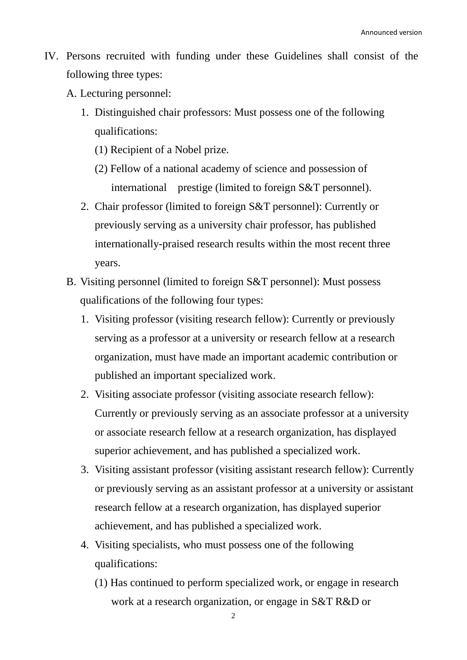- IV. Persons recruited with funding under these Guidelines shall consist of the following three types:
	- A. Lecturing personnel:
		- 1. Distinguished chair professors: Must possess one of the following qualifications:
			- (1) Recipient of a Nobel prize.
			- (2) Fellow of a national academy of science and possession of international prestige (limited to foreign S&T personnel).
		- 2. Chair professor (limited to foreign S&T personnel): Currently or previously serving as a university chair professor, has published internationally-praised research results within the most recent three years.
	- B. Visiting personnel (limited to foreign S&T personnel): Must possess qualifications of the following four types:
		- 1. Visiting professor (visiting research fellow): Currently or previously serving as a professor at a university or research fellow at a research organization, must have made an important academic contribution or published an important specialized work.
		- 2. Visiting associate professor (visiting associate research fellow): Currently or previously serving as an associate professor at a university or associate research fellow at a research organization, has displayed superior achievement, and has published a specialized work.
		- 3. Visiting assistant professor (visiting assistant research fellow): Currently or previously serving as an assistant professor at a university or assistant research fellow at a research organization, has displayed superior achievement, and has published a specialized work.
		- 4. Visiting specialists, who must possess one of the following qualifications:
			- (1) Has continued to perform specialized work, or engage in research work at a research organization, or engage in S&T R&D or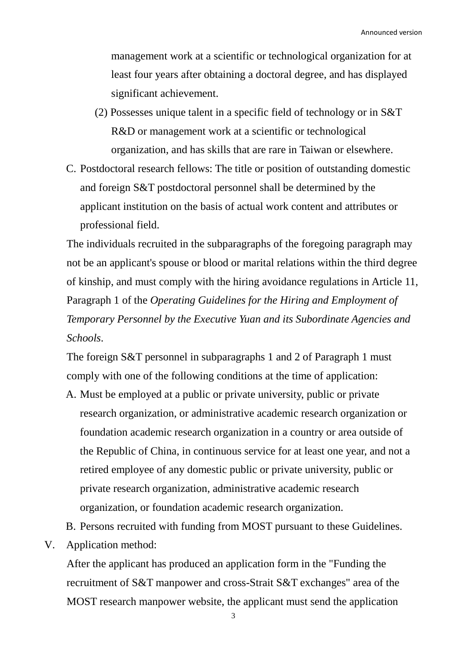management work at a scientific or technological organization for at least four years after obtaining a doctoral degree, and has displayed significant achievement.

- (2) Possesses unique talent in a specific field of technology or in S&T R&D or management work at a scientific or technological organization, and has skills that are rare in Taiwan or elsewhere.
- C. Postdoctoral research fellows: The title or position of outstanding domestic and foreign S&T postdoctoral personnel shall be determined by the applicant institution on the basis of actual work content and attributes or professional field.

The individuals recruited in the subparagraphs of the foregoing paragraph may not be an applicant's spouse or blood or marital relations within the third degree of kinship, and must comply with the hiring avoidance regulations in Article 11, Paragraph 1 of the *Operating Guidelines for the Hiring and Employment of Temporary Personnel by the Executive Yuan and its Subordinate Agencies and Schools*.

The foreign S&T personnel in subparagraphs 1 and 2 of Paragraph 1 must comply with one of the following conditions at the time of application:

- A. Must be employed at a public or private university, public or private research organization, or administrative academic research organization or foundation academic research organization in a country or area outside of the Republic of China, in continuous service for at least one year, and not a retired employee of any domestic public or private university, public or private research organization, administrative academic research organization, or foundation academic research organization.
- B. Persons recruited with funding from MOST pursuant to these Guidelines.
- V. Application method:

After the applicant has produced an application form in the "Funding the recruitment of S&T manpower and cross-Strait S&T exchanges" area of the MOST research manpower website, the applicant must send the application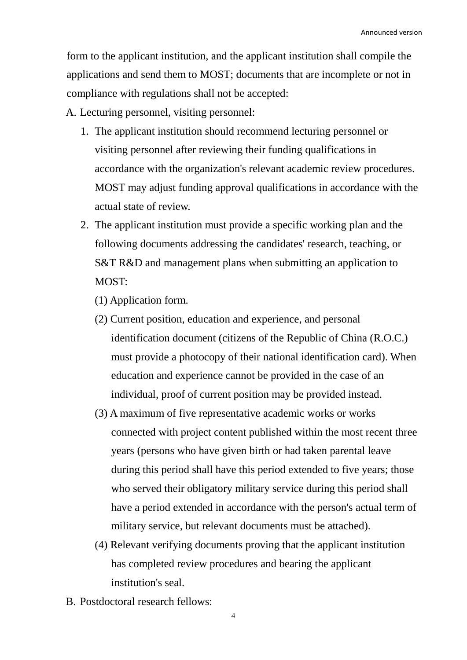form to the applicant institution, and the applicant institution shall compile the applications and send them to MOST; documents that are incomplete or not in compliance with regulations shall not be accepted:

A. Lecturing personnel, visiting personnel:

- 1. The applicant institution should recommend lecturing personnel or visiting personnel after reviewing their funding qualifications in accordance with the organization's relevant academic review procedures. MOST may adjust funding approval qualifications in accordance with the actual state of review.
- 2. The applicant institution must provide a specific working plan and the following documents addressing the candidates' research, teaching, or S&T R&D and management plans when submitting an application to MOST<sup>.</sup>
	- (1) Application form.
	- (2) Current position, education and experience, and personal identification document (citizens of the Republic of China (R.O.C.) must provide a photocopy of their national identification card). When education and experience cannot be provided in the case of an individual, proof of current position may be provided instead.
	- (3) A maximum of five representative academic works or works connected with project content published within the most recent three years (persons who have given birth or had taken parental leave during this period shall have this period extended to five years; those who served their obligatory military service during this period shall have a period extended in accordance with the person's actual term of military service, but relevant documents must be attached).
	- (4) Relevant verifying documents proving that the applicant institution has completed review procedures and bearing the applicant institution's seal.
- B. Postdoctoral research fellows: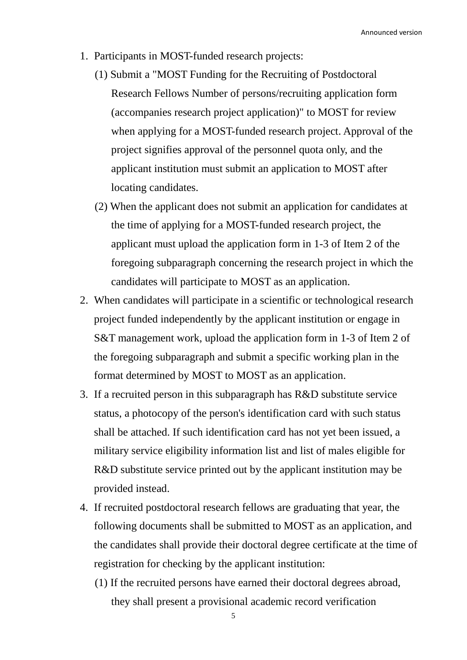Announced version

- 1. Participants in MOST-funded research projects:
	- (1) Submit a "MOST Funding for the Recruiting of Postdoctoral Research Fellows Number of persons/recruiting application form (accompanies research project application)" to MOST for review when applying for a MOST-funded research project. Approval of the project signifies approval of the personnel quota only, and the applicant institution must submit an application to MOST after locating candidates.
	- (2) When the applicant does not submit an application for candidates at the time of applying for a MOST-funded research project, the applicant must upload the application form in 1-3 of Item 2 of the foregoing subparagraph concerning the research project in which the candidates will participate to MOST as an application.
- 2. When candidates will participate in a scientific or technological research project funded independently by the applicant institution or engage in S&T management work, upload the application form in 1-3 of Item 2 of the foregoing subparagraph and submit a specific working plan in the format determined by MOST to MOST as an application.
- 3. If a recruited person in this subparagraph has R&D substitute service status, a photocopy of the person's identification card with such status shall be attached. If such identification card has not yet been issued, a military service eligibility information list and list of males eligible for R&D substitute service printed out by the applicant institution may be provided instead.
- 4. If recruited postdoctoral research fellows are graduating that year, the following documents shall be submitted to MOST as an application, and the candidates shall provide their doctoral degree certificate at the time of registration for checking by the applicant institution:
	- (1) If the recruited persons have earned their doctoral degrees abroad, they shall present a provisional academic record verification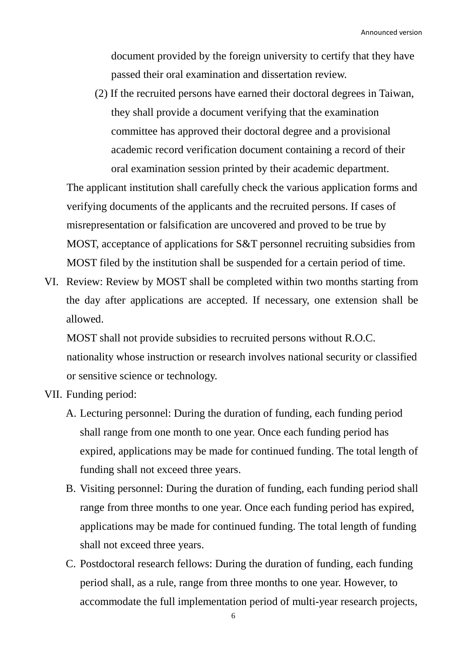document provided by the foreign university to certify that they have passed their oral examination and dissertation review.

(2) If the recruited persons have earned their doctoral degrees in Taiwan, they shall provide a document verifying that the examination committee has approved their doctoral degree and a provisional academic record verification document containing a record of their oral examination session printed by their academic department.

The applicant institution shall carefully check the various application forms and verifying documents of the applicants and the recruited persons. If cases of misrepresentation or falsification are uncovered and proved to be true by MOST, acceptance of applications for S&T personnel recruiting subsidies from MOST filed by the institution shall be suspended for a certain period of time.

VI. Review: Review by MOST shall be completed within two months starting from the day after applications are accepted. If necessary, one extension shall be allowed.

MOST shall not provide subsidies to recruited persons without R.O.C. nationality whose instruction or research involves national security or classified or sensitive science or technology.

- VII. Funding period:
	- A. Lecturing personnel: During the duration of funding, each funding period shall range from one month to one year. Once each funding period has expired, applications may be made for continued funding. The total length of funding shall not exceed three years.
	- B. Visiting personnel: During the duration of funding, each funding period shall range from three months to one year. Once each funding period has expired, applications may be made for continued funding. The total length of funding shall not exceed three years.
	- C. Postdoctoral research fellows: During the duration of funding, each funding period shall, as a rule, range from three months to one year. However, to accommodate the full implementation period of multi-year research projects,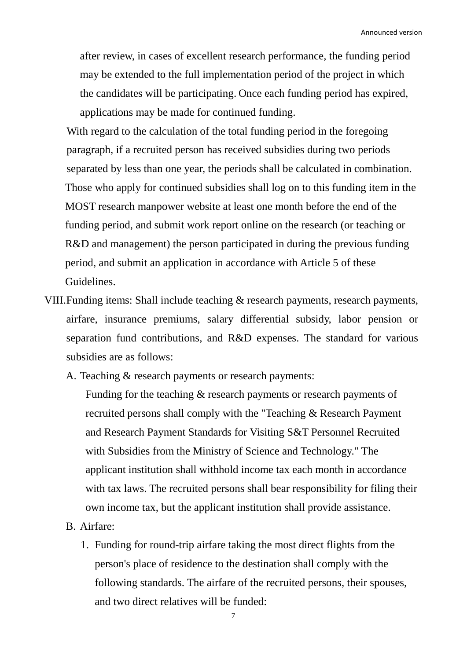after review, in cases of excellent research performance, the funding period may be extended to the full implementation period of the project in which the candidates will be participating. Once each funding period has expired, applications may be made for continued funding.

With regard to the calculation of the total funding period in the foregoing paragraph, if a recruited person has received subsidies during two periods separated by less than one year, the periods shall be calculated in combination. Those who apply for continued subsidies shall log on to this funding item in the MOST research manpower website at least one month before the end of the funding period, and submit work report online on the research (or teaching or R&D and management) the person participated in during the previous funding period, and submit an application in accordance with Article 5 of these **Guidelines** 

VIII.Funding items: Shall include teaching & research payments, research payments, airfare, insurance premiums, salary differential subsidy, labor pension or separation fund contributions, and R&D expenses. The standard for various subsidies are as follows:

A. Teaching & research payments or research payments:

Funding for the teaching & research payments or research payments of recruited persons shall comply with the "Teaching & Research Payment and Research Payment Standards for Visiting S&T Personnel Recruited with Subsidies from the Ministry of Science and Technology." The applicant institution shall withhold income tax each month in accordance with tax laws. The recruited persons shall bear responsibility for filing their own income tax, but the applicant institution shall provide assistance.

- B. Airfare:
	- 1. Funding for round-trip airfare taking the most direct flights from the person's place of residence to the destination shall comply with the following standards. The airfare of the recruited persons, their spouses, and two direct relatives will be funded: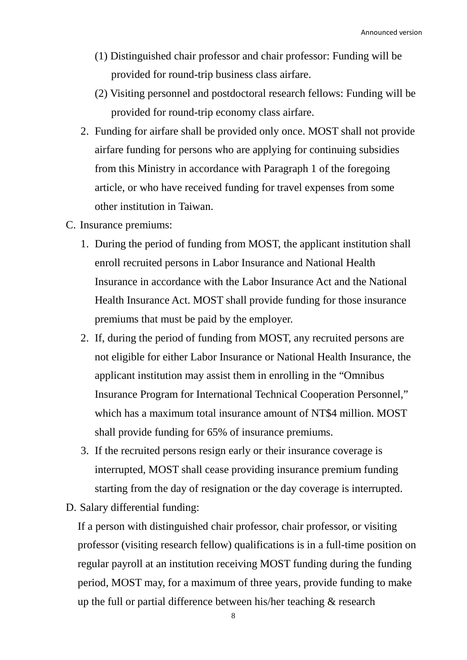- (1) Distinguished chair professor and chair professor: Funding will be provided for round-trip business class airfare.
- (2) Visiting personnel and postdoctoral research fellows: Funding will be provided for round-trip economy class airfare.
- 2. Funding for airfare shall be provided only once. MOST shall not provide airfare funding for persons who are applying for continuing subsidies from this Ministry in accordance with Paragraph 1 of the foregoing article, or who have received funding for travel expenses from some other institution in Taiwan.
- C. Insurance premiums:
	- 1. During the period of funding from MOST, the applicant institution shall enroll recruited persons in Labor Insurance and National Health Insurance in accordance with the Labor Insurance Act and the National Health Insurance Act. MOST shall provide funding for those insurance premiums that must be paid by the employer.
	- 2. If, during the period of funding from MOST, any recruited persons are not eligible for either Labor Insurance or National Health Insurance, the applicant institution may assist them in enrolling in the "Omnibus Insurance Program for International Technical Cooperation Personnel," which has a maximum total insurance amount of NT\$4 million. MOST shall provide funding for 65% of insurance premiums.
	- 3. If the recruited persons resign early or their insurance coverage is interrupted, MOST shall cease providing insurance premium funding starting from the day of resignation or the day coverage is interrupted.
- D. Salary differential funding:

If a person with distinguished chair professor, chair professor, or visiting professor (visiting research fellow) qualifications is in a full-time position on regular payroll at an institution receiving MOST funding during the funding period, MOST may, for a maximum of three years, provide funding to make up the full or partial difference between his/her teaching & research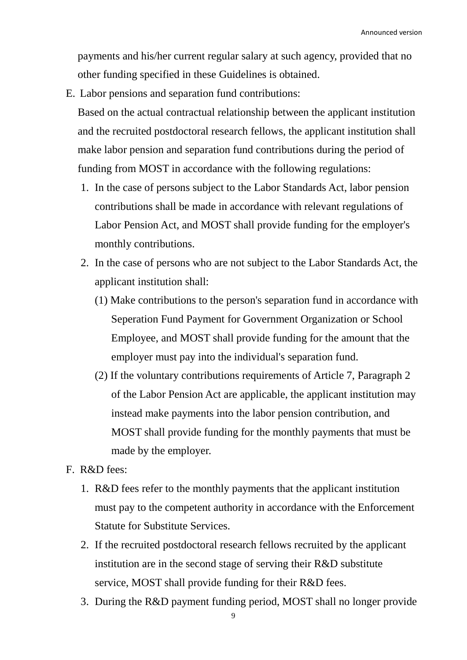payments and his/her current regular salary at such agency, provided that no other funding specified in these Guidelines is obtained.

- E. Labor pensions and separation fund contributions: Based on the actual contractual relationship between the applicant institution and the recruited postdoctoral research fellows, the applicant institution shall make labor pension and separation fund contributions during the period of funding from MOST in accordance with the following regulations:
	- 1. In the case of persons subject to the Labor Standards Act, labor pension contributions shall be made in accordance with relevant regulations of Labor Pension Act, and MOST shall provide funding for the employer's monthly contributions.
	- 2. In the case of persons who are not subject to the Labor Standards Act, the applicant institution shall:
		- (1) Make contributions to the person's separation fund in accordance with Seperation Fund Payment for Government Organization or School Employee, and MOST shall provide funding for the amount that the employer must pay into the individual's separation fund.
		- (2) If the voluntary contributions requirements of Article 7, Paragraph 2 of the Labor Pension Act are applicable, the applicant institution may instead make payments into the labor pension contribution, and MOST shall provide funding for the monthly payments that must be made by the employer.
- F. R&D fees:
	- 1. R&D fees refer to the monthly payments that the applicant institution must pay to the competent authority in accordance with the Enforcement Statute for Substitute Services.
	- 2. If the recruited postdoctoral research fellows recruited by the applicant institution are in the second stage of serving their R&D substitute service, MOST shall provide funding for their R&D fees.
	- 3. During the R&D payment funding period, MOST shall no longer provide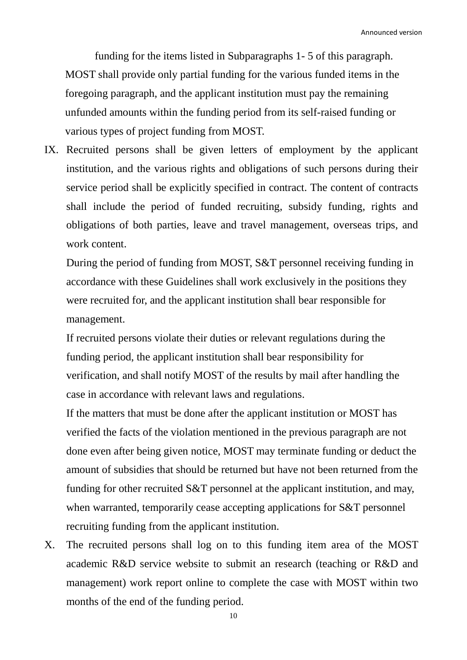Announced version

funding for the items listed in Subparagraphs 1- 5 of this paragraph. MOST shall provide only partial funding for the various funded items in the foregoing paragraph, and the applicant institution must pay the remaining unfunded amounts within the funding period from its self-raised funding or various types of project funding from MOST.

IX. Recruited persons shall be given letters of employment by the applicant institution, and the various rights and obligations of such persons during their service period shall be explicitly specified in contract. The content of contracts shall include the period of funded recruiting, subsidy funding, rights and obligations of both parties, leave and travel management, overseas trips, and work content.

During the period of funding from MOST, S&T personnel receiving funding in accordance with these Guidelines shall work exclusively in the positions they were recruited for, and the applicant institution shall bear responsible for management.

If recruited persons violate their duties or relevant regulations during the funding period, the applicant institution shall bear responsibility for verification, and shall notify MOST of the results by mail after handling the case in accordance with relevant laws and regulations.

If the matters that must be done after the applicant institution or MOST has verified the facts of the violation mentioned in the previous paragraph are not done even after being given notice, MOST may terminate funding or deduct the amount of subsidies that should be returned but have not been returned from the funding for other recruited S&T personnel at the applicant institution, and may, when warranted, temporarily cease accepting applications for S&T personnel recruiting funding from the applicant institution.

X. The recruited persons shall log on to this funding item area of the MOST academic R&D service website to submit an research (teaching or R&D and management) work report online to complete the case with MOST within two months of the end of the funding period.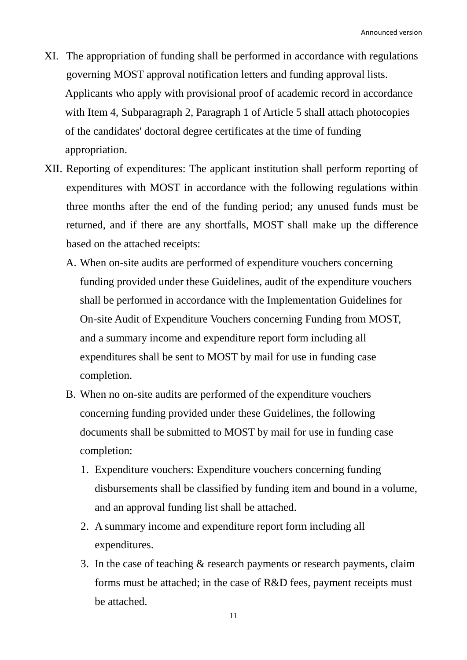- XI. The appropriation of funding shall be performed in accordance with regulations governing MOST approval notification letters and funding approval lists. Applicants who apply with provisional proof of academic record in accordance with Item 4, Subparagraph 2, Paragraph 1 of Article 5 shall attach photocopies of the candidates' doctoral degree certificates at the time of funding appropriation.
- XII. Reporting of expenditures: The applicant institution shall perform reporting of expenditures with MOST in accordance with the following regulations within three months after the end of the funding period; any unused funds must be returned, and if there are any shortfalls, MOST shall make up the difference based on the attached receipts:
	- A. When on-site audits are performed of expenditure vouchers concerning funding provided under these Guidelines, audit of the expenditure vouchers shall be performed in accordance with the Implementation Guidelines for On-site Audit of Expenditure Vouchers concerning Funding from MOST, and a summary income and expenditure report form including all expenditures shall be sent to MOST by mail for use in funding case completion.
	- B. When no on-site audits are performed of the expenditure vouchers concerning funding provided under these Guidelines, the following documents shall be submitted to MOST by mail for use in funding case completion:
		- 1. Expenditure vouchers: Expenditure vouchers concerning funding disbursements shall be classified by funding item and bound in a volume, and an approval funding list shall be attached.
		- 2. A summary income and expenditure report form including all expenditures.
		- 3. In the case of teaching & research payments or research payments, claim forms must be attached; in the case of R&D fees, payment receipts must be attached.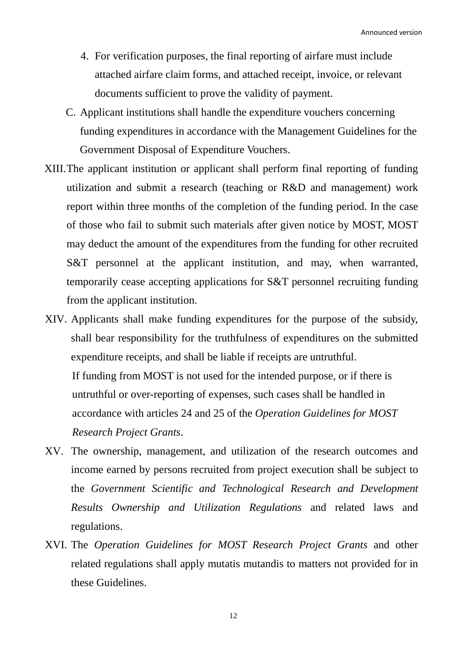- 4. For verification purposes, the final reporting of airfare must include attached airfare claim forms, and attached receipt, invoice, or relevant documents sufficient to prove the validity of payment.
- C. Applicant institutions shall handle the expenditure vouchers concerning funding expenditures in accordance with the Management Guidelines for the Government Disposal of Expenditure Vouchers.
- XIII.The applicant institution or applicant shall perform final reporting of funding utilization and submit a research (teaching or R&D and management) work report within three months of the completion of the funding period. In the case of those who fail to submit such materials after given notice by MOST, MOST may deduct the amount of the expenditures from the funding for other recruited S&T personnel at the applicant institution, and may, when warranted, temporarily cease accepting applications for S&T personnel recruiting funding from the applicant institution.
- XIV. Applicants shall make funding expenditures for the purpose of the subsidy, shall bear responsibility for the truthfulness of expenditures on the submitted expenditure receipts, and shall be liable if receipts are untruthful. If funding from MOST is not used for the intended purpose, or if there is untruthful or over-reporting of expenses, such cases shall be handled in accordance with articles 24 and 25 of the *Operation Guidelines for MOST Research Project Grants*.
- XV. The ownership, management, and utilization of the research outcomes and income earned by persons recruited from project execution shall be subject to the *Government Scientific and Technological Research and Development Results Ownership and Utilization Regulations* and related laws and regulations.
- XVI. The *Operation Guidelines for MOST Research Project Grants* and other related regulations shall apply mutatis mutandis to matters not provided for in these Guidelines.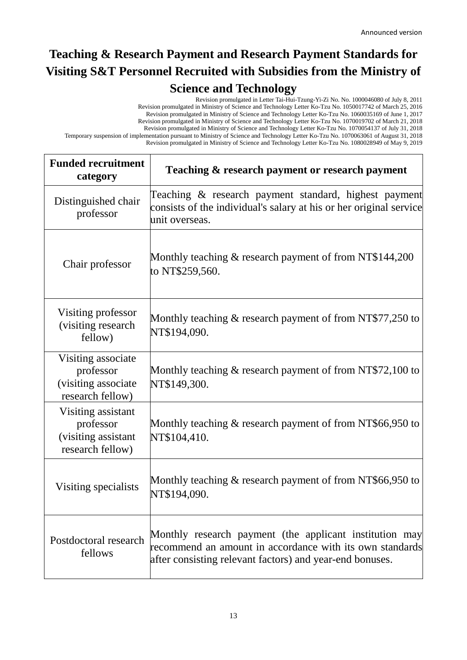## **Teaching & Research Payment and Research Payment Standards for Visiting S&T Personnel Recruited with Subsidies from the Ministry of Science and Technology**

Revision promulgated in Letter Tai-Hui-Tzung-Yi-Zi No. No. 1000046080 of July 8, 2011 Revision promulgated in Ministry of Science and Technology Letter Ko-Tzu No. 1050017742 of March 25, 2016 Revision promulgated in Ministry of Science and Technology Letter Ko-Tzu No. 1060035169 of June 1, 2017 Revision promulgated in Ministry of Science and Technology Letter Ko-Tzu No. 1070019702 of March 21, 2018 Revision promulgated in Ministry of Science and Technology Letter Ko-Tzu No. 1070054137 of July 31, 2018 Temporary suspension of implementation pursuant to Ministry of Science and Technology Letter Ko-Tzu No. 1070063061 of August 31, 2018 Revision promulgated in Ministry of Science and Technology Letter Ko-Tzu No. 1080028949 of May 9, 2019

| <b>Funded recruitment</b><br>category                                       | Teaching & research payment or research payment                                                                                                                                 |
|-----------------------------------------------------------------------------|---------------------------------------------------------------------------------------------------------------------------------------------------------------------------------|
| Distinguished chair<br>professor                                            | Teaching & research payment standard, highest payment<br>consists of the individual's salary at his or her original service<br>unit overseas.                                   |
| Chair professor                                                             | Monthly teaching $\&$ research payment of from NT\$144,200<br>to NT\$259,560.                                                                                                   |
| Visiting professor<br>(visiting research)<br>fellow)                        | Monthly teaching & research payment of from NT\$77,250 to<br>NT\$194,090.                                                                                                       |
| Visiting associate<br>professor<br>(visiting associate)<br>research fellow) | Monthly teaching $\&$ research payment of from NT\$72,100 to<br>NT\$149,300.                                                                                                    |
| Visiting assistant<br>professor<br>(visiting assistant<br>research fellow)  | Monthly teaching & research payment of from NT\$66,950 to<br>NT\$104,410.                                                                                                       |
| Visiting specialists                                                        | Monthly teaching $\&$ research payment of from NT\$66,950 to<br>NT\$194,090.                                                                                                    |
| Postdoctoral research<br>fellows                                            | Monthly research payment (the applicant institution may<br>recommend an amount in accordance with its own standards<br>after consisting relevant factors) and year-end bonuses. |